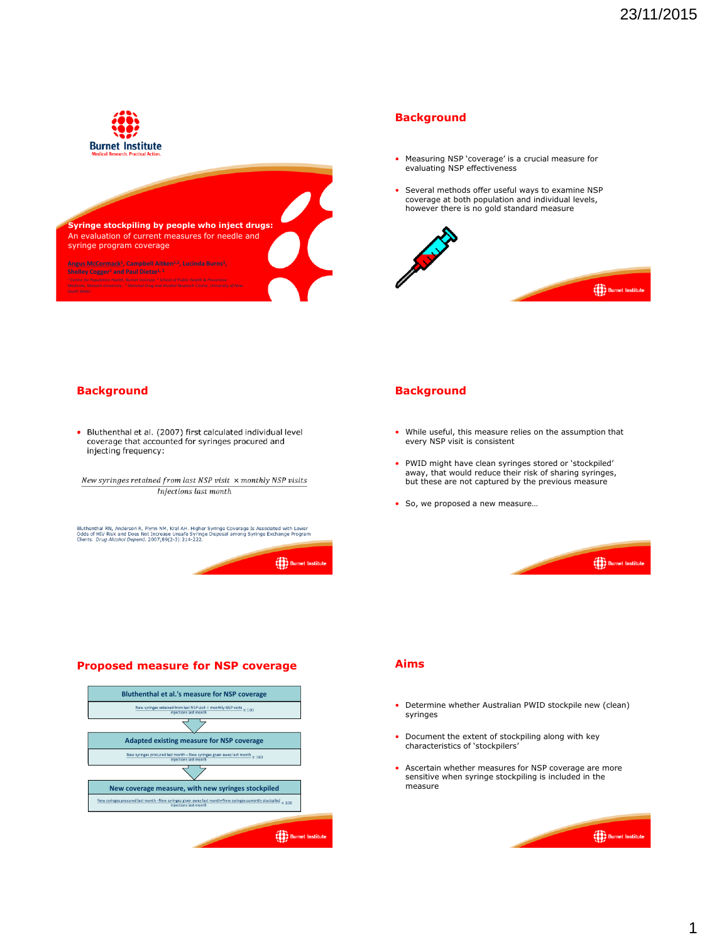



#### **Background**

- Measuring NSP 'coverage' is a crucial measure for evaluating NSP effectiveness
- Several methods offer useful ways to examine NSP coverage at both population and individual levels, however there is no gold standard measure



## **Background**

• Bluthenthal et al. (2007) first calculated individual level coverage that accounted for syringes procured and injecting frequency:

New syringes retained from last NSP visit  $\times$  monthly NSP visits Injections last month

Bluthenthal RN, Anderson R, Flynn NM, Kral AH. Higher Syringe Coverage Is Associated with Lower<br>Odds of HIV Risk and Does Not Increase Unsafe Syringe Disposal among Syringe Exchange Program<br>Clients. *Drug Alcohol Depend.*



## **Proposed measure for NSP coverage**



# **Background**

- While useful, this measure relies on the assumption that every NSP visit is consistent
- PWID might have clean syringes stored or 'stockpiled' away, that would reduce their risk of sharing syringes, but these are not captured by the previous measure
- So, we proposed a new measure…

**COOP** Burnet Instit

#### **Aims**

- Determine whether Australian PWID stockpile new (clean) syringes
- Document the extent of stockpiling along with key characteristics of 'stockpilers'
- Ascertain whether measures for NSP coverage are more sensitive when syringe stockpiling is included in the measure

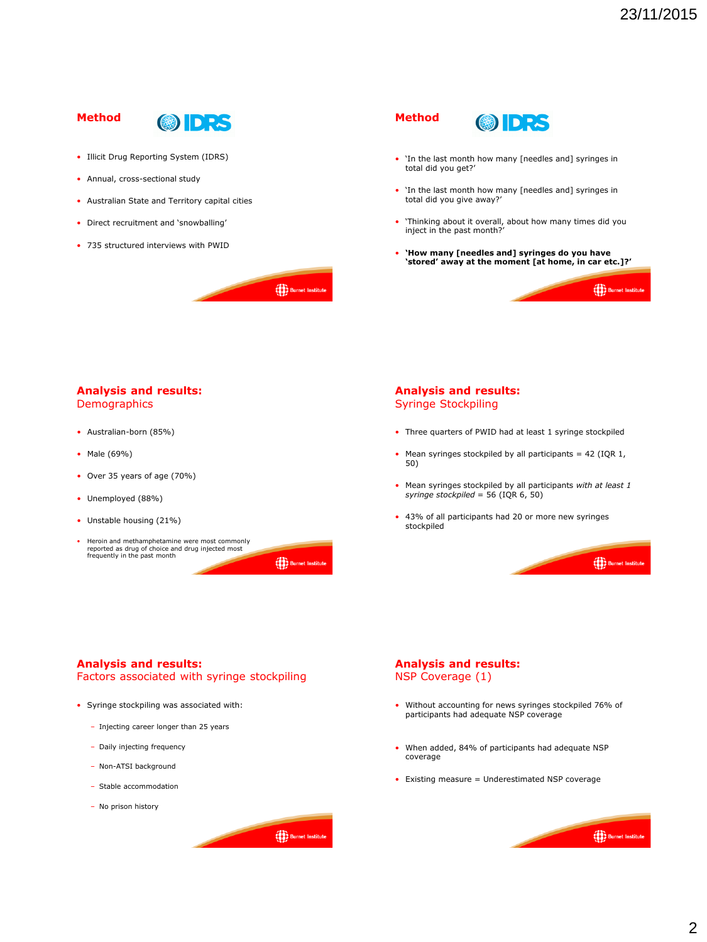(8) Burnet Institute

**OUT** Burnet Instit

## **Method**



**OUR** Burnet Institute

(80) Burnet Institu

(e)<br>Burnet Institute

- Illicit Drug Reporting System (IDRS)
- Annual, cross-sectional study
- Australian State and Territory capital cities
- Direct recruitment and 'snowballing'
- 735 structured interviews with PWID



- 'In the last month how many [needles and] syringes in total did you get?'
- 'In the last month how many [needles and] syringes in total did you give away?'
- 'Thinking about it overall, about how many times did you inject in the past month?'
- **'How many [needles and] syringes do you have 'stored' away at the moment [at home, in car etc.]?'**

## **Analysis and results: Demographics**

- Australian-born (85%)
- Male (69%)
- Over 35 years of age (70%)
- Unemployed (88%)
- Unstable housing (21%)
- Heroin and methamphetamine were most commonly reported as drug of choice and drug injected most frequently in the past month

#### **Analysis and results:**  Syringe Stockpiling

- Three quarters of PWID had at least 1 syringe stockpiled
- Mean syringes stockpiled by all participants =  $42$  (IQR 1, 50)
- Mean syringes stockpiled by all participants *with at least 1 syringe stockpiled* = 56 (IQR 6, 50)
- 43% of all participants had 20 or more new syringes stockpiled

**Analysis and results:** 

Factors associated with syringe stockpiling

- Syringe stockpiling was associated with:
	- Injecting career longer than 25 years
	- Daily injecting frequency
	- Non-ATSI background
	- Stable accommodation
	- No prison history

**Analysis and results:**  NSP Coverage (1)

- Without accounting for news syringes stockpiled 76% of participants had adequate NSP coverage
- When added, 84% of participants had adequate NSP coverage
- Existing measure = Underestimated NSP coverage